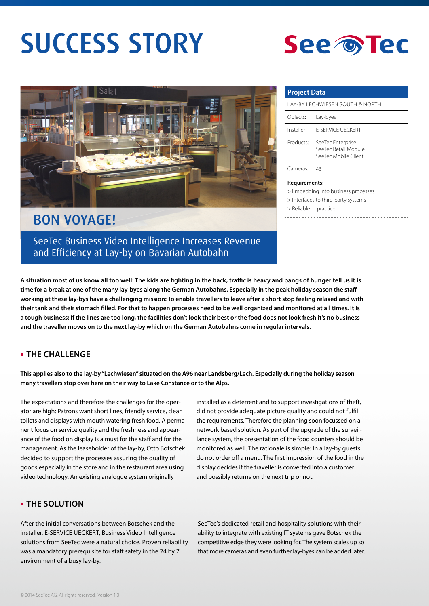# SUCCESS STORY





## BON VOYAGE!

## SeeTec Business Video Intelligence Increases Revenue and Efficiency at Lay-by on Bavarian Autobahn

## **Project Data** LAY-BY LECHWIESEN SOUTH & NORTH Objects: Lay-byes Installer: E-SERVICE UECKERT Products: SeeTec Enterprise SeeTec Retail Module SeeTec Mobile Client Cameras: 43

#### **Requirements:**

- > Embedding into business processes
- > Interfaces to third-party systems
- > Reliable in practice
- 

**A situation most of us know all too well: The kids are fighting in the back, traffic is heavy and pangs of hunger tell us it is time for a break at one of the many lay-byes along the German Autobahns. Especially in the peak holiday season the staff working at these lay-bys have a challenging mission: To enable travellers to leave after a short stop feeling relaxed and with their tank and their stomach filled. For that to happen processes need to be well organized and monitored at all times. It is a tough business: If the lines are too long, the facilities don't look their best or the food does not look fresh it's no business and the traveller moves on to the next lay-by which on the German Autobahns come in regular intervals.**

## **THE CHALLENGE**

**This applies also to the lay-by "Lechwiesen" situated on the A96 near Landsberg/Lech. Especially during the holiday season many travellers stop over here on their way to Lake Constance or to the Alps.**

The expectations and therefore the challenges for the operator are high: Patrons want short lines, friendly service, clean toilets and displays with mouth watering fresh food. A permanent focus on service quality and the freshness and appearance of the food on display is a must for the staff and for the management. As the leaseholder of the lay-by, Otto Botschek decided to support the processes assuring the quality of goods especially in the store and in the restaurant area using video technology. An existing analogue system originally

installed as a deterrent and to support investigations of theft, did not provide adequate picture quality and could not fulfil the requirements. Therefore the planning soon focussed on a network based solution. As part of the upgrade of the surveillance system, the presentation of the food counters should be monitored as well. The rationale is simple: In a lay-by guests do not order off a menu. The first impression of the food in the display decides if the traveller is converted into a customer and possibly returns on the next trip or not.

### **THE SOLUTION**

After the initial conversations between Botschek and the installer, E-SERVICE UECKERT, Business Video Intelligence solutions from SeeTec were a natural choice. Proven reliability was a mandatory prerequisite for staff safety in the 24 by 7 environment of a busy lay-by.

SeeTec's dedicated retail and hospitality solutions with their ability to integrate with existing IT systems gave Botschek the competitive edge they were looking for. The system scales up so that more cameras and even further lay-byes can be added later.